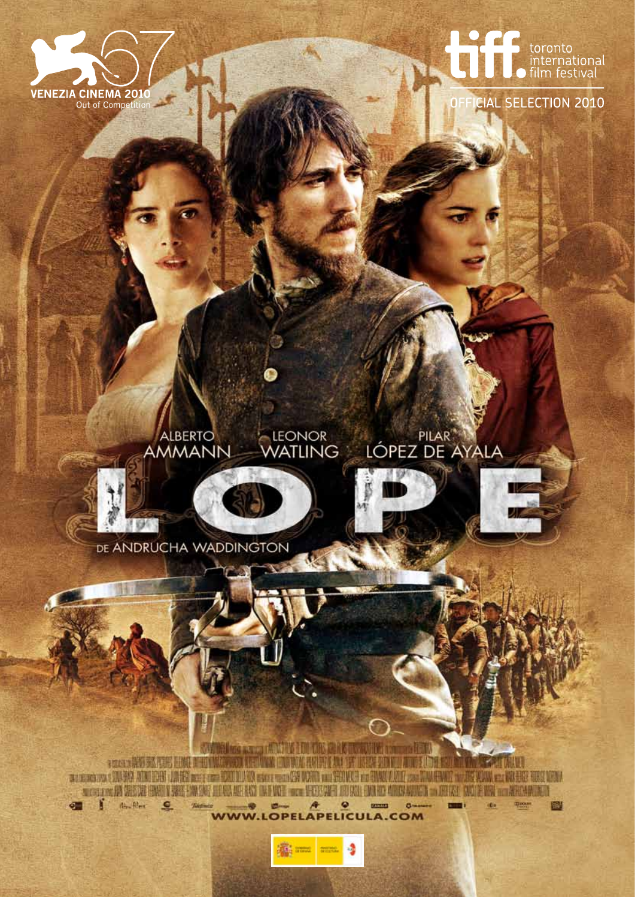



**CIAL SELECTION 2010** 

#### LEONOR<br>WATLING PILAR **ALBERTO** AMMANN





DE ANDRUCHA WADDINGTON

el los sano dalviris imi altre la contratta con EN DE LA PRODUCTION DE LA CONSTITUCIÓN DE LA CONSTITUCIÓN DE LA CONSTITUCIÓN DE LA CONSTITUCIÓN DE LA CONSTITU D **Readler**  $\sigma$  $\Omega$ **BERTHER**  $0 -$ 國 **APELICULA.COM WWW.I** овн

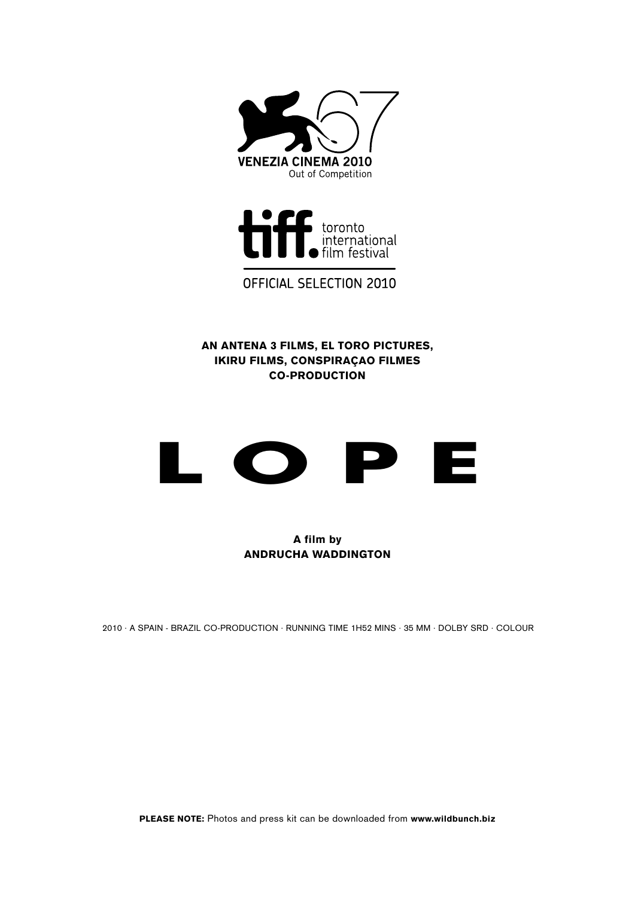



OFFICIAL SELECTION 2010

An Antena 3 Films, El Toro Pictures, Ikiru Films, Conspiraçao Filmes Co-Production



A film by ANDRUCHA WADDINGTON

2010 · A SPAIN - BRAZIL CO-PRODUCTION · RUNNING TIME 1H52 minS · 35 MM · DOLBY SRD · COLOUR

PLEASE NOTE: Photos and press kit can be downloaded from www.wildbunch.biz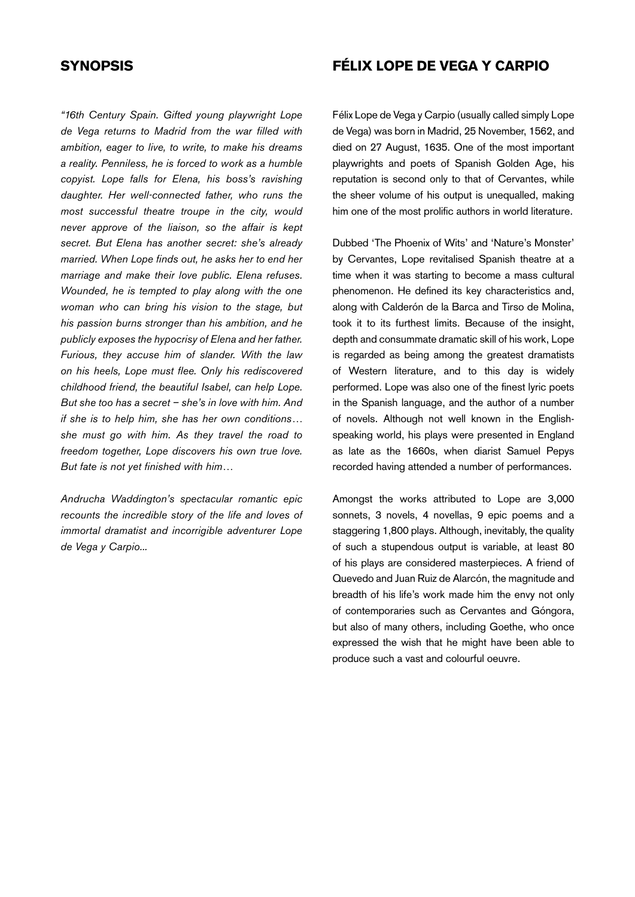## **SYNOPSIS**

*"16th Century Spain. Gifted young playwright Lope de Vega returns to Madrid from the war filled with ambition, eager to live, to write, to make his dreams a reality. Penniless, he is forced to work as a humble copyist. Lope falls for Elena, his boss's ravishing daughter. Her well-connected father, who runs the most successful theatre troupe in the city, would never approve of the liaison, so the affair is kept secret. But Elena has another secret: she's already married. When Lope finds out, he asks her to end her marriage and make their love public. Elena refuses. Wounded, he is tempted to play along with the one woman who can bring his vision to the stage, but his passion burns stronger than his ambition, and he publicly exposes the hypocrisy of Elena and her father. Furious, they accuse him of slander. With the law on his heels, Lope must flee. Only his rediscovered childhood friend, the beautiful Isabel, can help Lope. But she too has a secret – she's in love with him. And if she is to help him, she has her own conditions… she must go with him. As they travel the road to freedom together, Lope discovers his own true love. But fate is not yet finished with him…* 

*Andrucha Waddington's spectacular romantic epic recounts the incredible story of the life and loves of immortal dramatist and incorrigible adventurer Lope de Vega y Carpio...* 

# FÉLIX LOPE DE VEGA Y CARPIO

Félix Lope de Vega y Carpio (usually called simply Lope de Vega) was born in Madrid, 25 November, 1562, and died on 27 August, 1635. One of the most important playwrights and poets of Spanish Golden Age, his reputation is second only to that of Cervantes, while the sheer volume of his output is unequalled, making him one of the most prolific authors in world literature.

Dubbed 'The Phoenix of Wits' and 'Nature's Monster' by Cervantes, Lope revitalised Spanish theatre at a time when it was starting to become a mass cultural phenomenon. He defined its key characteristics and, along with Calderón de la Barca and Tirso de Molina, took it to its furthest limits. Because of the insight, depth and consummate dramatic skill of his work, Lope is regarded as being among the greatest dramatists of Western literature, and to this day is widely performed. Lope was also one of the finest lyric poets in the Spanish language, and the author of a number of novels. Although not well known in the Englishspeaking world, his plays were presented in England as late as the 1660s, when diarist Samuel Pepys recorded having attended a number of performances.

Amongst the works attributed to Lope are 3,000 sonnets, 3 novels, 4 novellas, 9 epic poems and a staggering 1,800 plays. Although, inevitably, the quality of such a stupendous output is variable, at least 80 of his plays are considered masterpieces. A friend of Quevedo and Juan Ruiz de Alarcón, the magnitude and breadth of his life's work made him the envy not only of contemporaries such as Cervantes and Góngora, but also of many others, including Goethe, who once expressed the wish that he might have been able to produce such a vast and colourful oeuvre.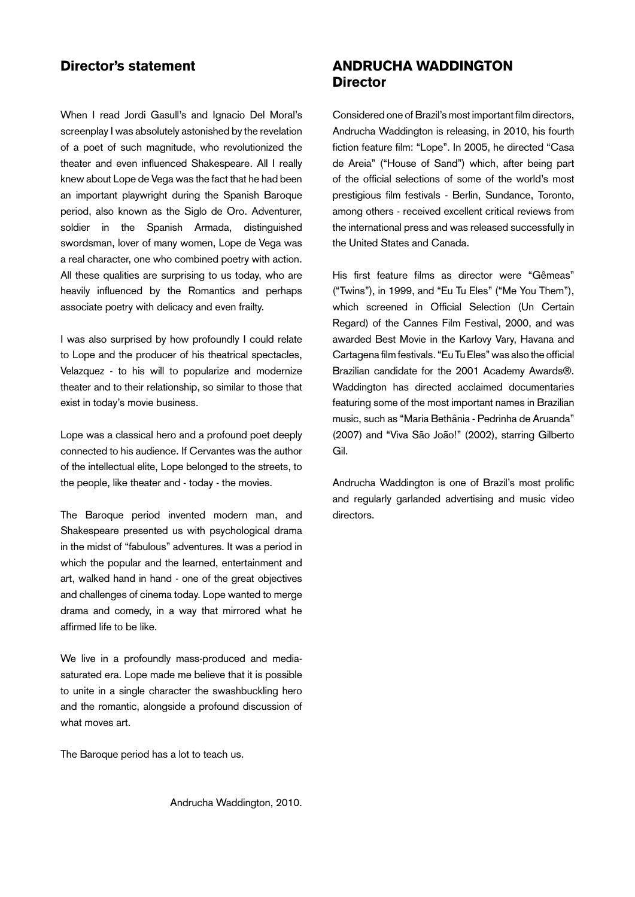## Director's statement

When I read Jordi Gasull's and Ignacio Del Moral's screenplay I was absolutely astonished by the revelation of a poet of such magnitude, who revolutionized the theater and even influenced Shakespeare. All I really knew about Lope de Vega was the fact that he had been an important playwright during the Spanish Baroque period, also known as the Siglo de Oro. Adventurer, soldier in the Spanish Armada, distinguished swordsman, lover of many women, Lope de Vega was a real character, one who combined poetry with action. All these qualities are surprising to us today, who are heavily influenced by the Romantics and perhaps associate poetry with delicacy and even frailty.

I was also surprised by how profoundly I could relate to Lope and the producer of his theatrical spectacles, Velazquez - to his will to popularize and modernize theater and to their relationship, so similar to those that exist in today's movie business.

Lope was a classical hero and a profound poet deeply connected to his audience. If Cervantes was the author of the intellectual elite, Lope belonged to the streets, to the people, like theater and - today - the movies.

The Baroque period invented modern man, and Shakespeare presented us with psychological drama in the midst of "fabulous" adventures. It was a period in which the popular and the learned, entertainment and art, walked hand in hand - one of the great objectives and challenges of cinema today. Lope wanted to merge drama and comedy, in a way that mirrored what he affirmed life to be like.

We live in a profoundly mass-produced and mediasaturated era. Lope made me believe that it is possible to unite in a single character the swashbuckling hero and the romantic, alongside a profound discussion of what moves art.

The Baroque period has a lot to teach us.

# ANDRUCHA WADDINGTON **Director**

Considered one of Brazil's most important film directors, Andrucha Waddington is releasing, in 2010, his fourth fiction feature film: "Lope". In 2005, he directed "Casa de Areia" ("House of Sand") which, after being part of the official selections of some of the world's most prestigious film festivals - Berlin, Sundance, Toronto, among others - received excellent critical reviews from the international press and was released successfully in the United States and Canada.

His first feature films as director were "Gêmeas" ("Twins"), in 1999, and "Eu Tu Eles" ("Me You Them"), which screened in Official Selection (Un Certain Regard) of the Cannes Film Festival, 2000, and was awarded Best Movie in the Karlovy Vary, Havana and Cartagena film festivals. "Eu Tu Eles" was also the official Brazilian candidate for the 2001 Academy Awards®. Waddington has directed acclaimed documentaries featuring some of the most important names in Brazilian music, such as "Maria Bethânia - Pedrinha de Aruanda" (2007) and "Viva São João!" (2002), starring Gilberto Gil.

Andrucha Waddington is one of Brazil's most prolific and regularly garlanded advertising and music video directors.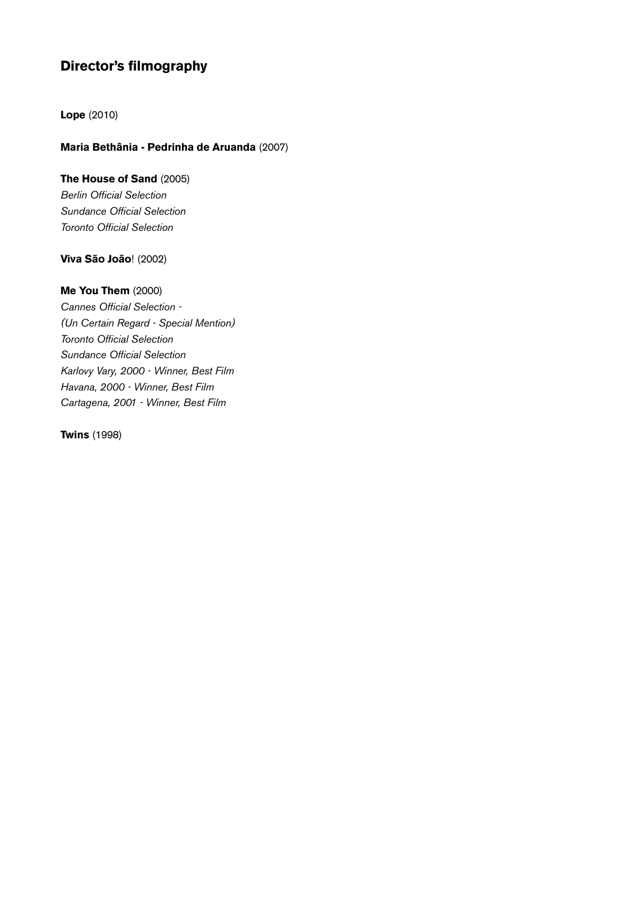# Director's filmography

Lope (2010)

### Maria Bethânia - Pedrinha de Aruanda (2007)

# The House of Sand (2005)

*Berlin Official Selection Sundance Official Selection Toronto Official Selection*

### Viva São João! (2002)

### Me You Them (2000)

*Cannes Official Selection - (Un Certain Regard - Special Mention) Toronto Official Selection Sundance Official Selection Karlovy Vary, 2000 - Winner, Best Film Havana, 2000 - Winner, Best Film Cartagena, 2001 - Winner, Best Film*

Twins (1998)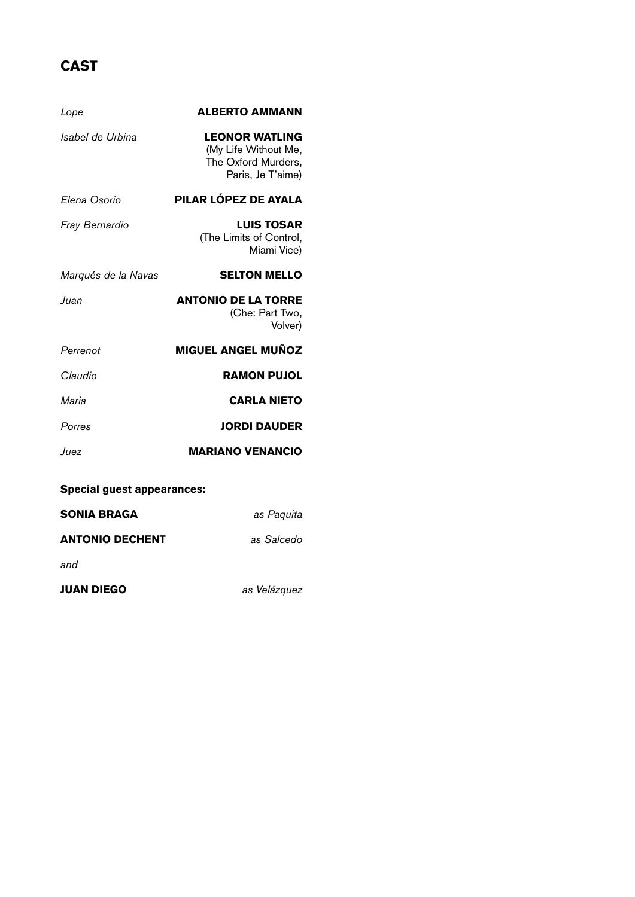# CAST

| Lope                              | <b>ALBERTO AMMANN</b>                                                                     |
|-----------------------------------|-------------------------------------------------------------------------------------------|
| Isabel de Urbina                  | <b>LEONOR WATLING</b><br>(My Life Without Me,<br>The Oxford Murders,<br>Paris, Je T'aime) |
| Elena Osorio                      | PILAR LÓPEZ DE AYALA                                                                      |
| Fray Bernardio                    | <b>LUIS TOSAR</b><br>(The Limits of Control,<br>Miami Vice)                               |
| Marqués de la Navas               | <b>SELTON MELLO</b>                                                                       |
| Juan                              | <b>ANTONIO DE LA TORRE</b><br>(Che: Part Two,<br>Volver)                                  |
| Perrenot                          | <b>MIGUEL ANGEL MUÑOZ</b>                                                                 |
| Claudio                           | <b>RAMON PUJOL</b>                                                                        |
| Maria                             | <b>CARLA NIETO</b>                                                                        |
| Porres                            | <b>JORDI DAUDER</b>                                                                       |
| Juez                              | <b>MARIANO VENANCIO</b>                                                                   |
| <b>Special guest appearances:</b> |                                                                                           |
| <b>SONIA BRAGA</b>                | as Paquita                                                                                |
| <b>ANTONIO DECHENT</b>            | as Salcedo                                                                                |

*and*

Juan Diego *as Velázquez*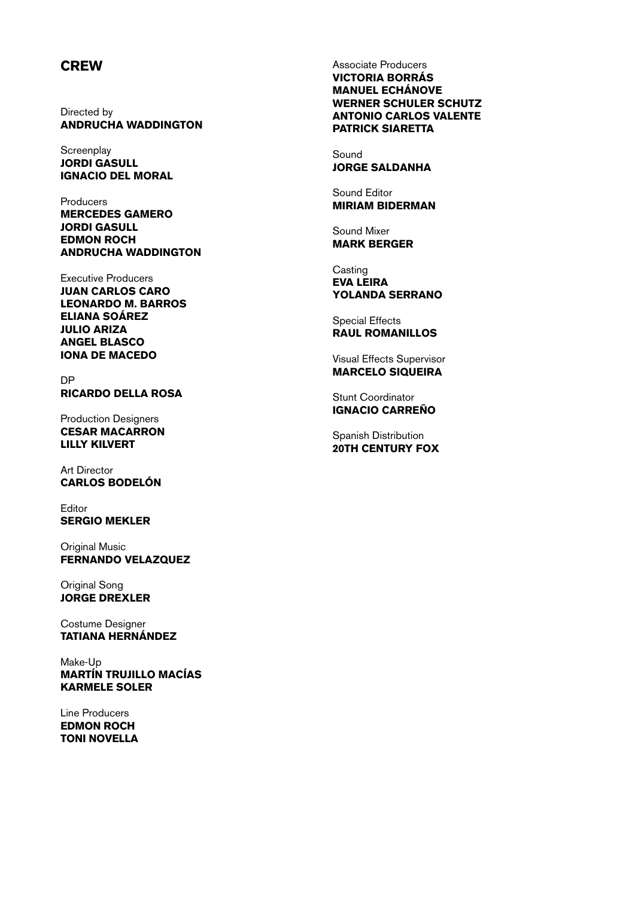# **CREW**

Directed by ANDRUCHA WADDINGTON

**Screenplay** Jordi Gasull Ignacio del Moral

Producers Mercedes Gamero Jordi Gasull Edmon Roch Andrucha Waddington

Executive Producers Juan Carlos Caro Leonardo M. Barros Eliana Soárez Julio Ariza Angel Blasco Iona de Macedo

DP Ricardo Della Rosa

Production Designers Cesar Macarron Lilly Kilvert

Art Director Carlos Bodelón

Editor SERGIO MEKLER

**Original Music** Fernando Velazquez

Original Song Jorge Drexler

Costume Designer Tatiana Hernández

Make-Up Martín Trujillo Macías Karmele Soler

Line Producers Edmon Roch Toni Novella Associate Producers VICTORIA BORRÁS Manuel Echánove Werner Schuler Schutz Antonio Carlos Valente Patrick Siaretta

Sound Jorge Saldanha

Sound Editor Miriam Biderman

Sound Mixer Mark Berger

**Casting** Eva Leira Yolanda Serrano

Special Effects Raul Romanillos

Visual Effects Supervisor **MARCELO SIQUEIRA** 

Stunt Coordinator Ignacio Carreño

Spanish Distribution 20th Century Fox